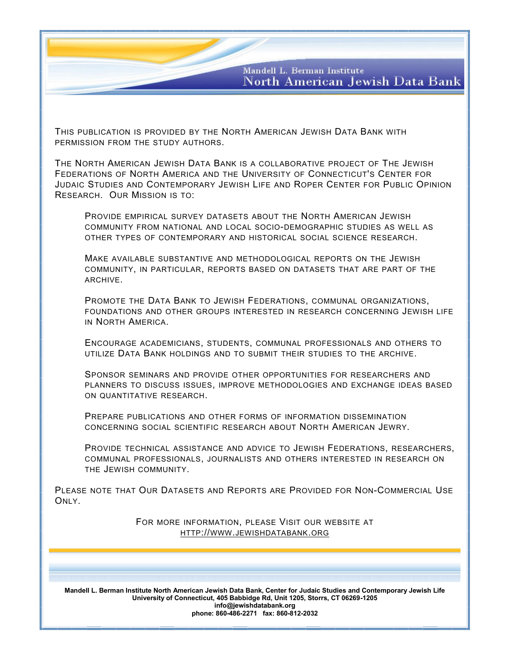Mandell L. Berman Institute North American Jewish Data Bank

THIS PUBLICATION IS PROVIDED BY THE NORTH AMERICAN JEWISH DATA BANK WITH PERMISSION FROM THE STUDY AUTHORS.

THE NORTH AMERICAN JEWISH DATA BANK IS A COLLABORATIVE PROJECT OF THE JEWISH FEDERATIONS OF NORTH AMERICA AND THE UNIVERSITY OF CONNECTICUT'S CENTER FOR JUDAIC STUDIES AND CONTEMPORARY JEWISH LIFE AND ROPER CENTER FOR PUBLIC OPINION RESEARCH. OUR MISSION IS TO:

PROVIDE EMPIRICAL SURVEY DATASETS ABOUT THE NORTH AMERICAN JEWISH COMMUNITY FROM NATIONAL AND LOCAL SOCIO-DEMOGRAPHIC STUDIES AS WELL AS OTHER TYPES OF CONTEMPORARY AND HISTORICAL SOCIAL SCIENCE RESEARCH.

MAKE AVAILABLE SUBSTANTIVE AND METHODOLOGICAL REPORTS ON THE JEWISH COMMUNITY, IN PARTICULAR, REPORTS BASED ON DATASETS THAT ARE PART OF THE ARCHIVE.

PROMOTE THE DATA BANK TO JEWISH FEDERATIONS, COMMUNAL ORGANIZATIONS, FOUNDATIONS AND OTHER GROUPS INTERESTED IN RESEARCH CONCERNING JEWISH LIFE IN NORTH AMERICA.

ENCOURAGE ACADEMICIANS, STUDENTS, COMMUNAL PROFESSIONALS AND OTHERS TO UTILIZE DATA BANK HOLDINGS AND TO SUBMIT THEIR STUDIES TO THE ARCHIVE.

SPONSOR SEMINARS AND PROVIDE OTHER OPPORTUNITIES FOR RESEARCHERS AND PLANNERS TO DISCUSS ISSUES, IMPROVE METHODOLOGIES AND EXCHANGE IDEAS BASED ON QUANTITATIVE RESEARCH.

PREPARE PUBLICATIONS AND OTHER FORMS OF INFORMATION DISSEMINATION CONCERNING SOCIAL SCIENTIFIC RESEARCH ABOUT NORTH AMERICAN JEWRY.

PROVIDE TECHNICAL ASSISTANCE AND ADVICE TO JEWISH FEDERATIONS, RESEARCHERS, COMMUNAL PROFESSIONALS, JOURNALISTS AND OTHERS INTERESTED IN RESEARCH ON THE JEWISH COMMUNITY.

PLEASE NOTE THAT OUR DATASETS AND REPORTS ARE PROVIDED FOR NON-COMMERCIAL USE ONLY.

> FOR MORE INFORMATION, PLEASE VISIT OUR WEBSITE AT HTTP://WWW.[JEWISHDATABANK](http://www.jewishdatabank.org/).ORG

**Mandell L. Berman Institute North American Jewish Data Bank, Center for Judaic Studies and Contemporary Jewish Life University of Connecticut, 405 Babbidge Rd, Unit 1205, Storrs, CT 06269-1205 info@jewishdatabank.org phone: 860-486-2271 fax: 860-812-2032**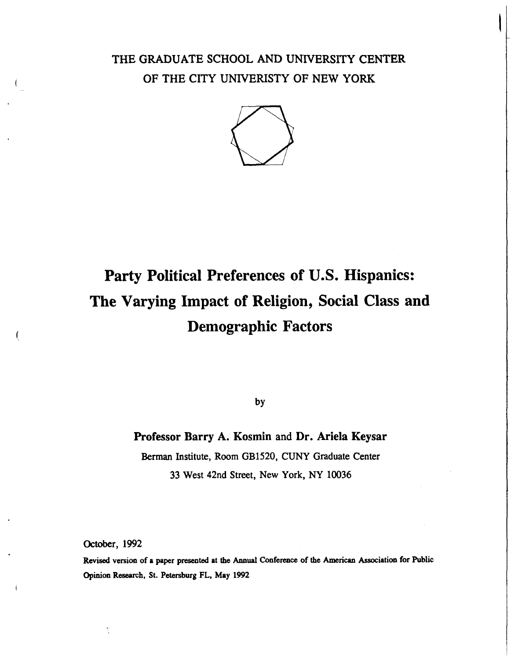### **THE GRADUATE SCHOOL AND UNIVERSITY CENTER OF THE CITY UNIVERISTY OF NEW YORK**



### **Party Political Preferences of U.S. Hispanics: The Varying Impact of Religion, Social Class and Demographic Factors**

by

### **Professor Barry A. Kosmin and Dr. Ariela Keysar**

**Berman Institute, Room GB1520, CUNY Graduate Center 33 West 42nd Street, New York, NY 10036** 

**October, 1992** 

**Revised version of a paper presented at the Annual Conference of the American Association for Public Opinion Research, St. Petersburg FL, May 1992**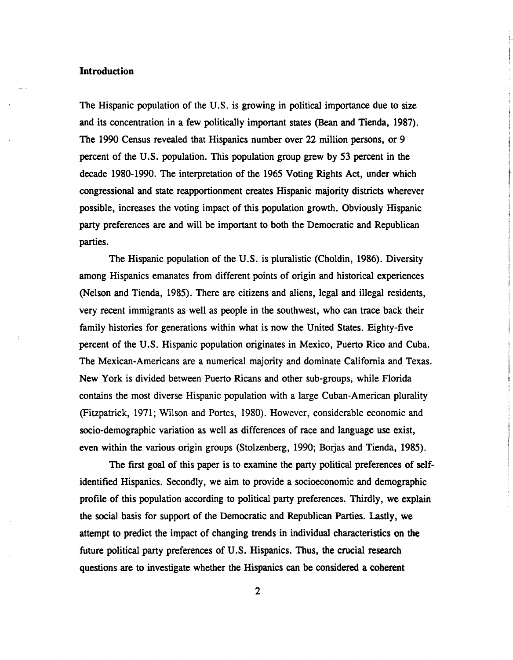### **Introduction**

The Hispanic population of the U.S. is growing in political importance due to size and its concentration in a few politically important states (Bean and Tienda, 1987). The 1990 Census revealed that Hispanics number over 22 million persons, or 9 percent of the U.S. population. This population group grew by 53 percent in the decade 1980-1990. The interpretation of the 1965 Voting Rights Act, under which congressional and state reapportionment creates Hispanic majority districts wherever possible, increases the voting impact of this population growth. Obviously Hispanic party preferences are and will be important to both the Democratic and Republican parties.

The Hispanic population of the U.S. is pluralistic (Choldin, 1986). Diversity among Hispanics emanates from different points of origin and historical experiences (Nelson and Tienda, 1985). There are citizens and aliens, legal and illegal residents, very recent immigrants as well as people in the southwest, who can trace back their family histories for generations within what is now the United States. Eighty-five percent of the U.S. Hispanic population originates in Mexico, Puerto Rico and Cuba. The Mexican-Americans are a numerical majority and dominate California and Texas. New York is divided between Puerto Ricans and other sub-groups, while Florida contains the most diverse Hispanic population with a large Cuban-American plurality (Fitzpatrick, 1971; Wilson and Portes, 1980). However, considerable economic and socio-demographic variation as well as differences of race and language use exist, even within the various origin groups (Stolzenberg, 1990; Borjas and Tienda, 1985).

The first goal of this paper is to examine the party political preferences of selfidentified Hispanics. Secondly, we aim to provide a socioeconomic and demographic profile of this population according to political party preferences. Thirdly, we explain the social basis for support of the Democratic and Republican Parties. Lastly, we attempt to predict the impact of changing trends in individual characteristics on the future political party preferences of **U.S.** Hispanics. Thus, the crucial research questions are to investigate whether the Hispanics can be considered a coherent

 $\overline{2}$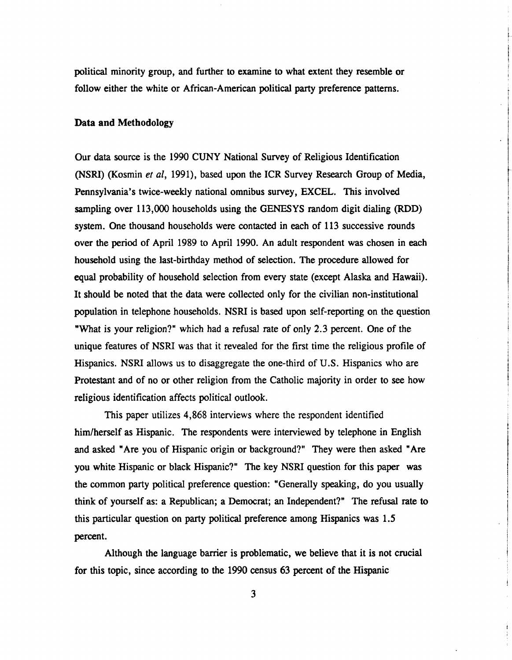political minority group, and further to examine to what extent they resemble or follow either the white or African-American political party preference patterns.

### **Data and Methodology**

Our data source is the 1990 CUNY National Survey of Religious Identification (NSRI) (Kosmin et al, 1991), based upon the ICR Survey Research Group of Media, Pennsylvania's twice-weekly national omnibus survey, EXCEL. This involved sampling over 113,000 households using the GENESYS random digit dialing **(RDD)**  system. One thousand households were contacted in each of 113 successive rounds over the period of April 1989 to April 1990. An adult respondent was chosen in each household using the last-birthday method of selection. The procedure allowed for equal probability of household selection from every state (except Alaska and Hawaii). It should be noted that the data were collected only for the civilian non-institutional population in telephone households. NSRI is based upon self-reporting on the question "What is your religion?" which had a refusal rate of only 2.3 percent. One of the unique features of NSRI was that it revealed for the first time the religious profile of Hispanics. NSRI allows us to disaggregate the one-third of U.S. Hispanics who are Protestant and of no or other religion from the Catholic majority in order to see how religious identification affects political outlook.

This paper utilizes 4,868 interviews where the respondent identified him/herself as Hispanic. The respondents were interviewed by telephone in English and asked "Are you of Hispanic origin or background?" They were then asked "Are you white Hispanic or black Hispanic?" The key NSRI question for this paper was the common party political preference question: "Generally speaking, do you usually think of yourself as: a Republican; a Democrat; an Independent?" The refusal rate to this particular question on party political preference among Hispanics was 1.5 percent.

Although the language barrier is problematic, we believe that it is not crucial for this topic, since according to the 1990 census 63 percent of the Hispanic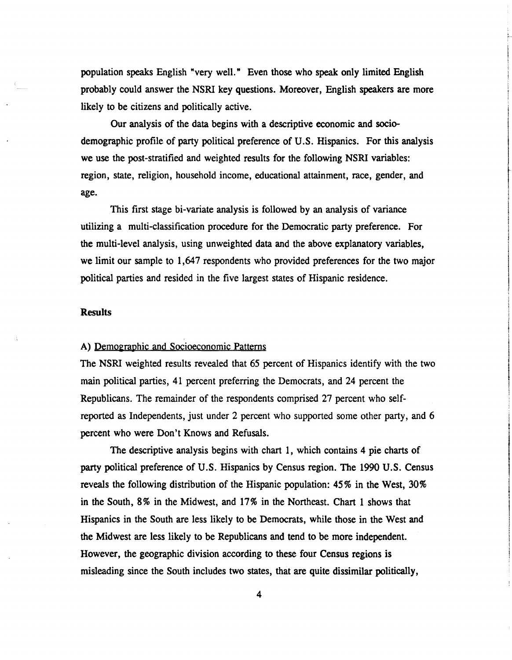population speaks English "very well." Even those who speak only limited English probably could answer the NSRI key questions. Moreover, English speakers are more likely to be citizens and politically active.

Our analysis of the data begins with a descriptive economic and sociodemographic profile of party political preference of U.S. Hispanics. For this analysis we use the post-stratified and weighted results for the following NSRI variables: region, state, religion, household income, educational attainment, race, gender, and age.

This first stage bi-variate analysis is followed by an analysis of variance utilizing a multi-classification procedure for the Democratic party preference. For the multi-level analysis, using unweighted data and the above explanatory variables, we limit our sample to 1,647 respondents who provided preferences for the two major political parties and resided in the five largest states of Hispanic residence.

#### **Results**

### A) Demographic and Socioeconomic Patterns

The NSRI weighted results revealed that 65 percent of Hispanics identify with the two main political parties, 41 percent preferring the Democrats, and 24 percent the Republicans. The remainder of the respondents comprised 27 percent who selfreported as Independents, just under 2 percent who supported some other party, and 6 percent who were Don't Knows and Refusals.

The descriptive analysis begins with chart 1, which contains 4 pie charts of party political preference of U.S. Hispanics by Census region. The 1990 U.S. Census reveals the following distribution of the Hispanic population: 45% in the West, 30% in the South, 8% in the Midwest, and 17% in the Northeast. Chart 1 shows that Hispanics in the South are less likely to be Democrats, while those in the West and the Midwest are less likely to be Republicans and tend to be more independent. However, the geographic division according to these four Census regions is misleading since the South includes two states, that are quite dissimilar politically,

 $\overline{\mathbf{4}}$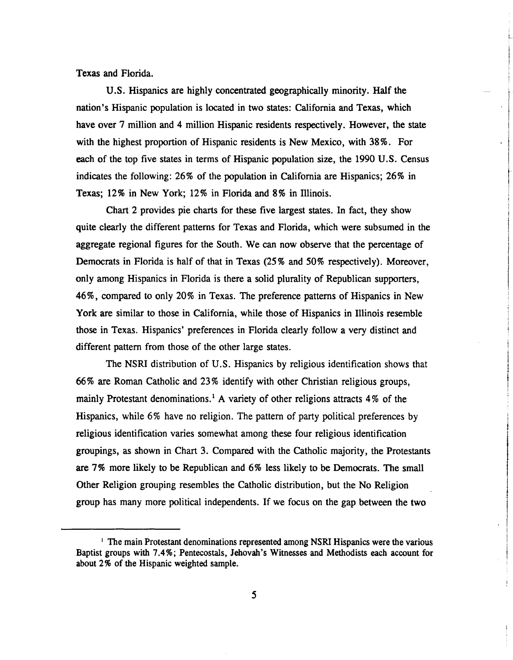**Texas** and Florida.

U.S. Hispanics are highly concentrated geographically minority. Half the nation's Hispanic population is located in two states: California and Texas, which have over 7 million and 4 million Hispanic residents respectively. However, the state with the highest proportion of Hispanic residents is New Mexico, with **38%.** For each of the top five states in terms of Hispanic population size, the **1990** U.S. Census indicates the following: **26%** of the population in California are Hispanics; **26%** in **Texas; 12** % in New York; **12%** in Florida and **8%** in Illinois.

Chart **2** provides pie charts for these five largest states. In fact, they show quite clearly the different patterns for Texas and Florida, which were subsumed in the aggregate regional figures for the South. We can now observe that the percentage of Democrats in Florida is half of that in Texas **(25** % and **50%** respectively). Moreover, only among Hispanics in Florida is there a solid plurality of Republican supporters, **46%,** compared to only **20%** in Texas. The preference patterns of Hispanics in New York are similar to those in California, while those of Hispanics in Illinois resemble those in Texas. Hispanics' preferences in Florida clearly follow a very distinct and different pattern from those of the other large states.

The NSRI distribution of U.S. Hispanics by religious identification shows that 66% are Roman Catholic and **23%** identify with other Christian religious groups, mainly Protestant denominations.' A variety of other religions attracts 4% of the Hispanics, while **6%** have no religion. The pattern of party political preferences by religious identification varies somewhat among these four religious identification groupings, **as** shown in Chart 3. Compared with the Catholic majority, the Protestants are 7% more likely to be Republican and **6%** less likely to be Democrats. The small Other Religion grouping resembles the Catholic distribution, but the No Religion group has many more political independents. If we focus on the gap between the two

The main Protestant denominations represented among **NSRI** Hispanics were the various Baptist groups with 7.4%; Pentecostals, Jehovah's Witnesses and Methodists each account for about 2% of the Hispanic weighted sample.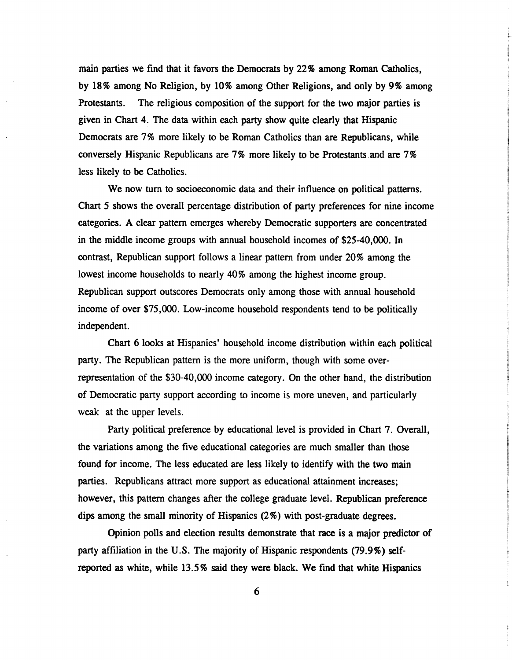main parties we find that it favors the Democrats by 22% among Roman Catholics, by 18 % among No Religion, by 10% among Other Religions, and only by 9% among Protestants. The religious composition of the support for the two major parties is given in Chart 4. The data within each party show quite clearly that Hispanic Democrats are 7% more likely to be Roman Catholics than are Republicans, while conversely Hispanic Republicans are 7% more likely to be Protestants and are 7% less likely to be Catholics.

We now turn to socioeconomic data and their influence on political patterns. Chart 5 shows the overall percentage distribution of party preferences for nine income categories. A clear pattern emerges whereby Democratic supporters are concentrated in the middle income groups with annual household incomes of \$25-40,000. In contrast, Republican support follows a linear pattern from under 20% among the lowest income households to nearly 40% among the highest income group. Republican support outscores Democrats only among those with annual household income of over \$75,000. Low-income household respondents tend to be politically independent.

Chart 6 looks at Hispanics' household income distribution within each political party. The Republican pattern is the more uniform, though with some overrepresentation of the \$30-40,000 income category. On the other hand, the distribution of Democratic party support according to income is more uneven, and particularly weak at the upper levels.

Party political preference by educational level is provided in Chart 7. Overall, the variations among the five educational categories are much smaller than those found for income. The less educated are less likely to identify with the two main parties. Republicans attract more support as educational attainment increases; however, this pattern changes after the college graduate level. Republican preference dips among the small minority of Hispanics (2%) with post-graduate degrees.

Opinion polls and election results demonstrate that race is a major predictor of party affiliation in the **U.S.** The majority of Hispanic respondents (79.9%) selfreported as white, while 13.5 % said they were black. We find that white Hispanics

6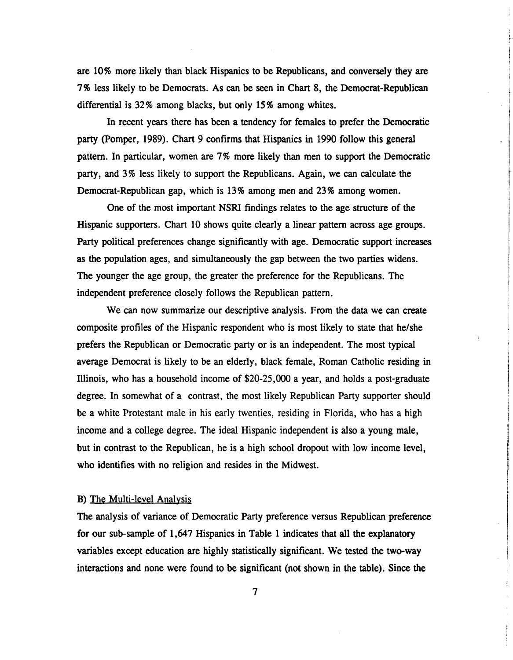are 10% more likely than black Hispanics to be Republicans, and conversely they are 7% less likely to be Democrats. As can be seen in Chart 8, the Democrat-Republican differential is 32% among blacks, but only 15% among whites.

In recent years there has been a tendency for females to prefer the Democratic party (Pomper, 1989). Chart 9 confirms that Hispanics in 1990 follow this general pattern. In particular, women are 7% more likely than men to support the Democratic party, and 3% less likely to support the Republicans. Again, we can calculate the Democrat-Republican gap, which is 13% among men and 23% among women.

One of the most important **NSRI** findings relates to the age structure of the Hispanic supporters. Chart 10 shows quite clearly a linear pattern across age groups. Party political preferences change significantly with age. Democratic support increases as the population ages, and simultaneously the gap between the two parties widens. The younger the age group, the greater the preference for the Republicans. The independent preference closely follows the Republican pattern.

We can now summarize our descriptive analysis. From the data we can create composite profiles of the Hispanic respondent who is most likely to state that helshe prefers the Republican or Democratic party or is an independent. The most typical average Democrat is likely to be an elderly, black female, Roman Catholic residing in Illinois, who has a household income of \$20-25,000 a year, and holds a post-graduate degree. In somewhat of a contrast, the most likely Republican Party supporter should be a white Protestant male in his early twenties, residing in Florida, who has a high income and a college degree. The ideal Hispanic independent is also a young male, but in contrast to the Republican, he is a high school dropout with low income level, who identifies with no religion and resides in the Midwest.

### B) The Multi-level Analysis

The analysis of variance of Democratic Party preference versus Republican preference for our sub-sample of 1,647 Hispanics in Table 1 indicates that all the explanatory variables except education are highly statistically significant. We tested the two-way interactions and none were found to be significant (not shown in the table). Since the

 $\overline{7}$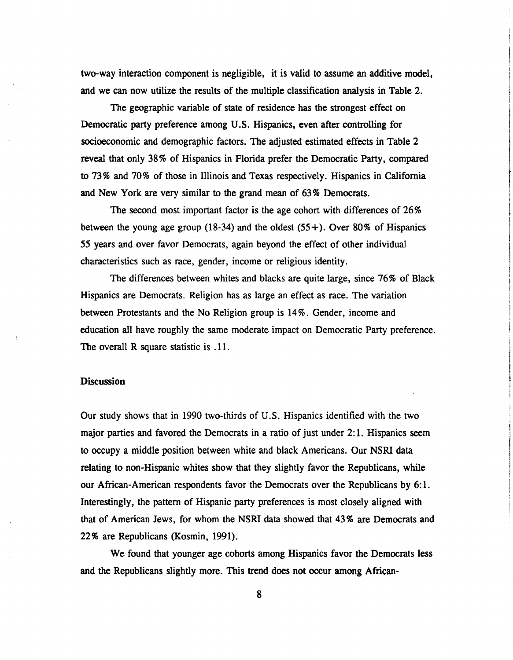two-way interaction component is negligible, it is valid to assume an additive model, and we can now utilize the results of the multiple classification analysis in Table **2.** 

The geographic variable of state of residence has the strongest effect on Democratic party preference among U.S. Hispanics, even after controlling for socioeconomic and demographic factors. The adjusted estimated effects in Table **2**  reveal that only **38** % of Hispanics in Florida prefer the Democratic Party, compared to 73% and 70% of those in Illinois and Texas respectively. Hispanics in California and New York are very similar to the grand **mean** of **63%** Democrats.

The second most important factor is the age cohort with differences of **26%**  between the young age group **(1 8-34)** and the oldest **(55** +). Over **80%** of Hispanics **55** years and over favor Democrats, again beyond the effect of other individual characteristics such as race, gender, income or religious identity.

The differences between whites and blacks are quite large, since **76%** of Black Hispanics are Democrats. Religion has as large an effect as race. The variation between Protestants and the No Religion group is **14%.** Gender, income and education all have roughly the same moderate impact on Democratic Party preference. The overall R square statistic is .11.

#### **Discussion**

Our study shows that in 1990 two-thirds of U.S. Hispanics identified with the two major parties and favored the Democrats in a ratio of just under **2:** 1. Hispanics seem to occupy a middle position between white and black Americans. Our NSRI data relating to non-Hispanic whites show that they slightly favor the Republicans, while our African-American respondents favor the Democrats over the Republicans by **6: 1.**  Interestingly, the pattern of Hispanic party preferences is most closely aligned with that of American Jews, for whom the NSRI data showed that **43%** are Democrats and 22% are Republicans (Kosmin, 1991).

We found that younger age cohorts among Hispanics favor the Democrats less and the Republicans slightly more. This trend does not occur among African-

8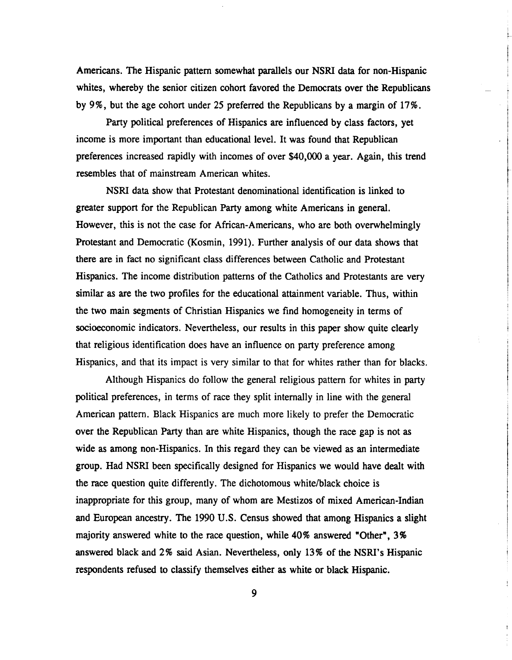Americans. The Hispanic pattern somewhat parallels our NSRI data for non-Hispanic whites, whereby the senior citizen cohort favored the Democrats over the Republicans by 996, but the age cohort under 25 preferred the Republicans by a margin of 17%.

Party political preferences of Hispanics are influenced by class factors, yet income is more important than educational level. It was found that Republican preferences increased rapidly with incomes of over \$40,000 a year. Again, this trend resembles that of mainstream American whites.

NSRI data show that Protestant denominational identification is linked to greater support for the Republican Party among white Americans in general. However, this is not the case for African-Americans, who are both overwhelmingly Protestant and Democratic (Kosmin, 1991). Further analysis of our data shows that there are in fact no significant class differences between Catholic and Protestant Hispanics. The income distribution patterns of the Catholics and Protestants are very similar **as** are the two profiles for the educational attainment variable. Thus, within the two main segments of Christian Hispanics we find homogeneity in terms of socioeconomic indicators. Nevertheless, our results in this paper show quite clearly that religious identification does have an influence on party preference among Hispanics, and that its impact is very similar to that for whites rather than for blacks.

Although Hispanics do follow the general religious pattern for whites in party political preferences, in terms of race they split internally in line with the general American pattern. Black Hispanics are much more likely to prefer the Democratic over the Republican Party than are white Hispanics, though the race gap is not **as**  wide as among non-Hispanics. In this regard they can be viewed as an intermediate group. Had NSRI been specifically designed for Hispanics we would have dealt with the race question quite differently. The dichotomous white/black choice is inappropriate for this group, many of whom are Mestizos of mixed American-Indian and European ancestry. The 1990 **U.S.** Census showed that among Hispanics a slight majority answered white to the race question, while 40% answered "Other", 3% answered black and 2% said Asian. Nevertheless, only 13% of the NSRI's Hispanic respondents refused to classify themselves either **as** white or black Hispanic.

9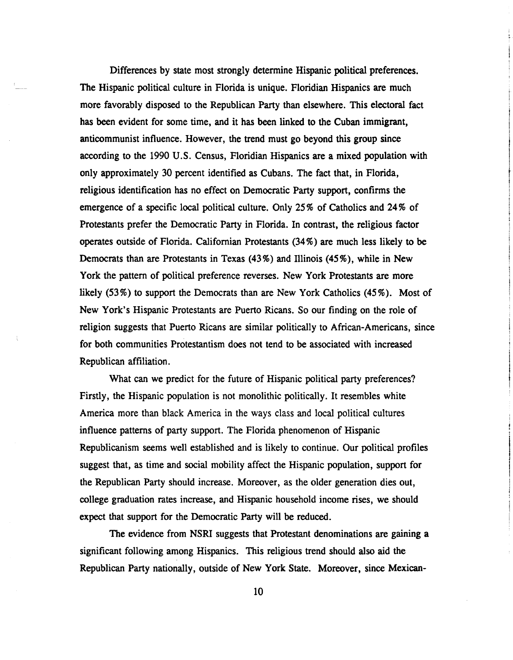Differences by state most strongly determine Hispanic political preferences. The Hispanic political culture in Florida is unique. Floridian Hispanics are much more favorably disposed to the Republican Party than elsewhere. This electoral fact has been evident for some time, and it has been linked to the Cuban immigrant, anticommunist influence. However, the trend must go beyond this group since according to the 1990 U.S. Census, Floridian Hispanics are a mixed population with only approximately 30 percent identified as Cubans. The fact that, in Florida, religious identification has no effect on Democratic Party support, confirms the emergence of a specific local political culture. Only 25 % of Catholics and 24% of Protestants prefer the Democratic Party in Florida. In contrast, the religious factor operates outside of Florida. Californian Protestants (34%) are much less likely to be Democrats than are Protestants in Texas (43%) and Illinois (45%), while in New York the pattern of political preference reverses. New York Protestants are more likely (53%) to support the Democrats than are New York Catholics (45%). Most of New York's Hispanic Protestants are Puerto Ricans. So our finding on the role of religion suggests that Puerto Ricans are similar politically to African-Americans, since for both communities Protestantism does not tend to be associated with increased Republican affiliation.

What **can** we predict for the future of Hispanic political party preferences? Firstly, the Hispanic population is not monolithic politically. It resembles white America more than black America in the ways class and local political cultures influence patterns of party support. The Florida phenomenon of Hispanic Republicanism seems well established and is likely to continue. Our political profiles suggest that, as time and social mobility affect the Hispanic population, support for the Republican Party should increase. Moreover, as the older generation dies out, college graduation rates increase, and Hispanic household income rises, we should expect that support for the Democratic Party will be reduced.

The evidence from NSRI suggests that Protestant denominations are gaining a significant following among Hispanics. This religious trend should also aid the Republican Party nationally, outside of New York State. Moreover, since Mexican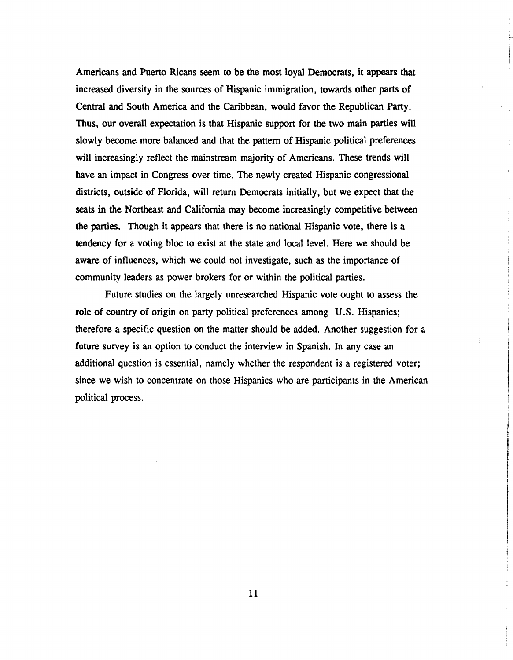Americans and Puerto Ricans seem to be the most loyal Democrats, it appears that increased diversity in the sources of Hispanic immigration, towards other parts of Central and South America and the Caribbean, would favor the Republican Party. Thus, our overall expectation is that Hispanic support for the two main parties will slowly become more balanced and that the pattern of Hispanic political preferences will increasingly reflect the mainstream majority of Americans. These trends will have an impact in Congress over time. The newly created Hispanic congressional districts, outside of Florida, will return Democrats initially, but we expect that the seats in the Northeast and California may become increasingly competitive between the parties. Though it appears that there is no national Hispanic vote, there is a tendency for a voting bloc to exist at the state and local level. Here we should be aware of influences, which we could not investigate, such as the importance of community leaders as power brokers for or within the political parties.

Future studies on the largely unresearched Hispanic vote ought to assess the role of country of origin on party political preferences among U.S. Hispanics; therefore a specific question on the matter should be added. Another suggestion for a future survey is an option to conduct the interview in Spanish. In any case an additional question is essential, namely whether the respondent is a registered voter; since we wish to concentrate on those Hispanics who are participants in the American political process.

11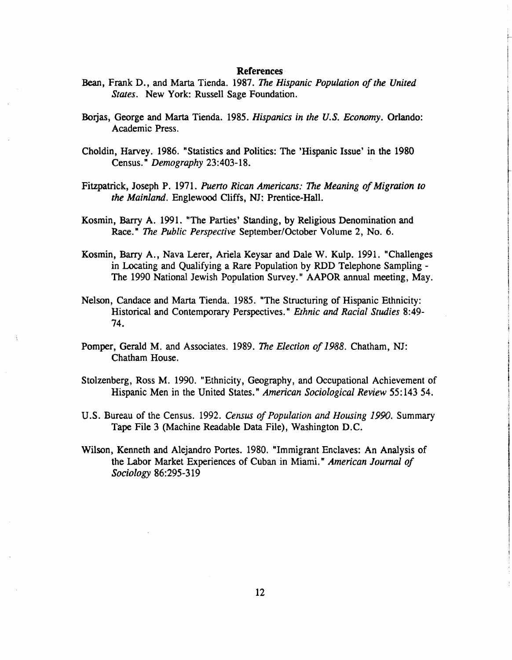#### **References**

- Bean, Frank D., and Marta Tienda. 1987. *The Hispanic Population of the United States.* New York: Russell Sage Foundation.
- Borjas, George and Marta Tienda. 1985. *Hispanics in the U.S. Economy*. Orlando: Academic Press.
- Choldin, Harvey. 1986. "Statistics and Politics: The 'Hispanic Issue' in the 1980 Census. " *Demography* 23:403-18.
- Fitzpatrick, Joseph P. 1971. *Puerto Rican Americans: The Meaning of Migration to the Mainland.* Englewood Cliffs, NJ: Prentice-Hall.
- Kosmin, Barry A. 1991. "The Parties' Standing, by Religious Denomination and Race." *The Public Perspective September/October Volume 2, No. 6.*
- Kosmin, Barry A., Nava Lerer, Ariela Keysar and Dale W. Kulp. 1991. "Challenges in Locating and Qualifying a Rare Population by RDD Telephone Sampling - The 1990 National Jewish Population Survey." AAPOR annual meeting, May.
- Nelson, Candace and Marta Tienda. 1985. "The Structuring of Hispanic Ethnicity: Historical and Contemporary Perspectives." *Ethnic and Racial Studies* 8:49- 74.
- Pomper, Gerald M. and Associates. 1989. The *Election of 1988.* Chatham, NJ: Chatham House.
- Stolzenberg, Ross M. 1990. "Ethnicity, Geography, and Occupational Achievement of Hispanic Men in the United States." *American Sociological Review* 55: 143 54.
- U.S. Bureau of the Census. 1992. *Census of Population and Housing 1990.* Summary Tape File 3 (Machine Readable Data File), Washington D.C.
- Wilson, Kenneth and Alejandro Portes. 1980. "Immigrant Enclaves: An Analysis of the Labor Market Experiences of Cuban in Miami." *American Jouml of Sociology* 86:295-3 19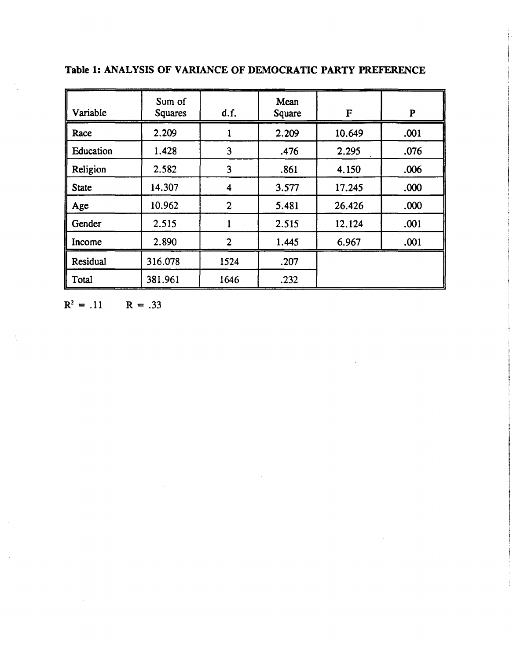| Variable     | Sum of<br><b>Squares</b> | d.f.           | Mean<br>Square | F      | ${\bf P}$ |
|--------------|--------------------------|----------------|----------------|--------|-----------|
| Race         | 2.209                    |                | 2.209          | 10.649 | .001      |
| Education    | 1.428                    | 3              | .476           | 2.295  | .076      |
| Religion     | 2.582                    | 3              | .861           | 4.150  | .006      |
| <b>State</b> | 14.307                   | 4              | 3.577          | 17.245 | .000      |
| Age          | 10.962                   | $\mathbf{2}$   | 5.481          | 26.426 | .000      |
| Gender       | 2.515                    |                | 2.515          | 12.124 | .001      |
| Income       | 2.890                    | $\overline{2}$ | 1.445          | 6.967  | .001      |
| Residual     | 316.078                  | 1524           | .207           |        |           |
| Total        | 381.961                  | 1646           | .232           |        |           |

**Table 1: ANALYSIS OF VARIANCE OF DEMOCRATIC PARTY PREFERENCE** 

 $R^2 = .11$   $R = .33$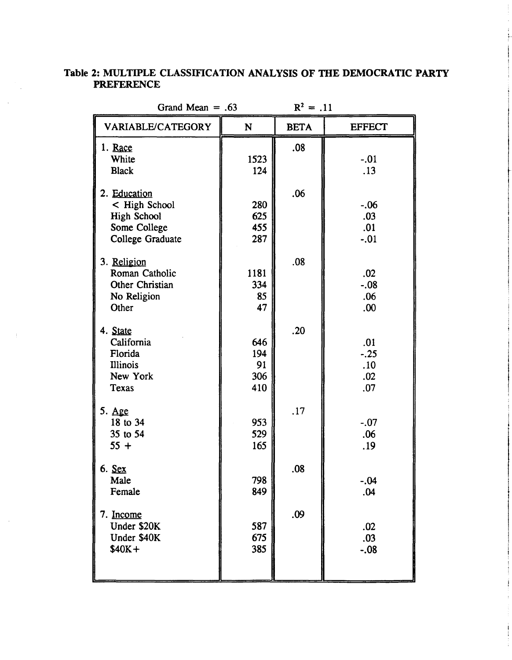### **Table 2: MULTIPLE CLASSIFICATION ANALYSIS OF THE DEMOCRATIC PARTY PREFERENCE**

| Grand Mean $= .63$                                                                      | $R^2 = .11$                    |             |                                    |
|-----------------------------------------------------------------------------------------|--------------------------------|-------------|------------------------------------|
| VARIABLE/CATEGORY                                                                       | N                              | <b>BETA</b> | <b>EFFECT</b>                      |
| 1. Race<br>White<br><b>Black</b>                                                        | 1523<br>124                    | .08         | $-.01$<br>.13                      |
| 2. Education<br>< High School<br><b>High School</b><br>Some College<br>College Graduate | 280<br>625<br>455<br>287       | .06         | $-.06$<br>.03<br>.01<br>$-.01$     |
| 3. Religion<br>Roman Catholic<br>Other Christian<br>No Religion<br>Other                | 1181<br>334<br>85<br>47        | .08         | .02<br>$-.08$<br>.06<br>.00        |
| 4. State<br>California<br>Florida<br><b>Illinois</b><br>New York<br>Texas               | 646<br>194<br>91<br>306<br>410 | .20         | .01<br>$-.25$<br>.10<br>.02<br>.07 |
| $5. \ \text{Age}$<br>18 to 34<br>35 to 54<br>$55 +$                                     | 953<br>529<br>165              | .17         | $-.07$<br>.06<br>.19               |
| 6. Sex<br>Male<br>Female                                                                | 798<br>849                     | .08         | $-.04$<br>.04                      |
| 7. Income<br>Under \$20K<br>Under \$40K<br>$$40K+$                                      | 587<br>675<br>385              | .09         | .02<br>.03<br>$-.08$               |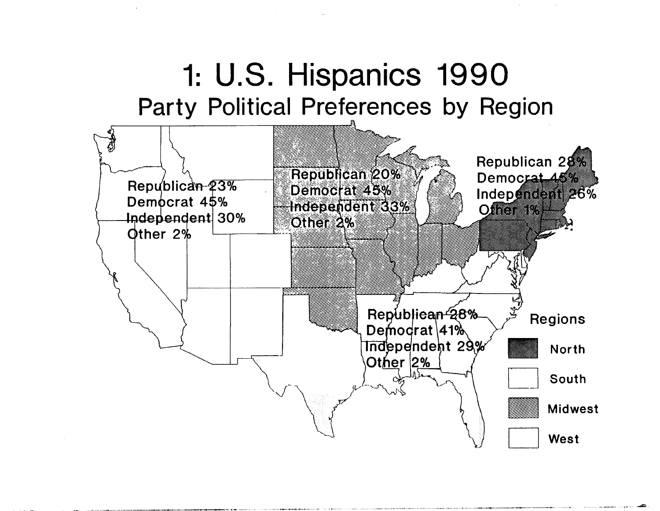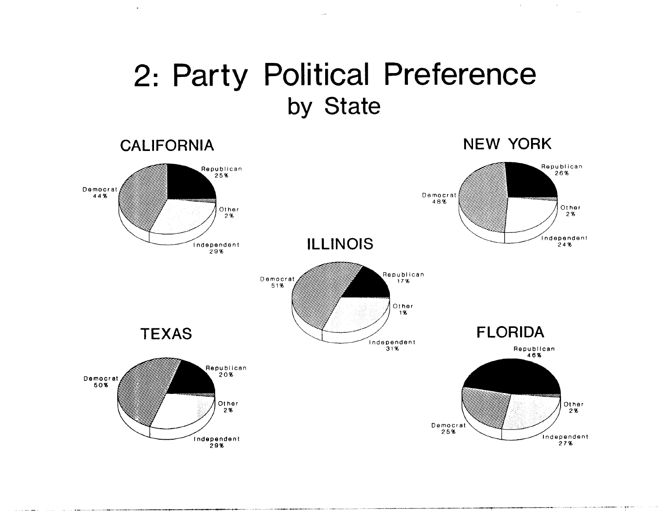## 2: **Party Political Preference**  by State

 $\Delta \sim 10^4$ 

 $\sim 10^{11}$  km  $^{-1}$ 

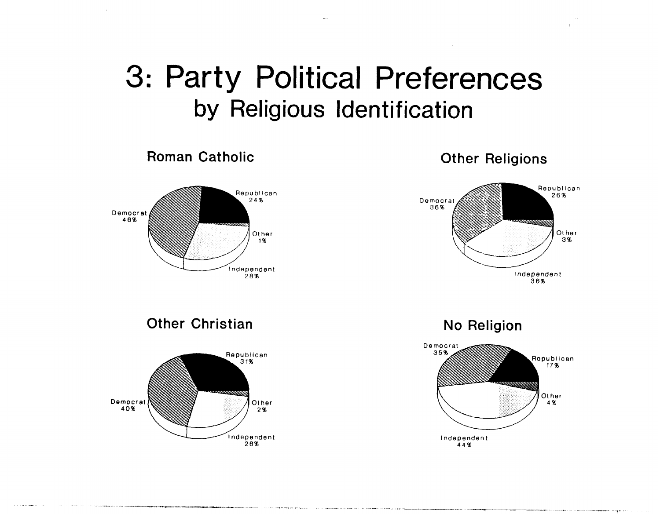# 3: Party Political Preferences by Religious Identification



Roman Catholic

Other Religions



Other Christian



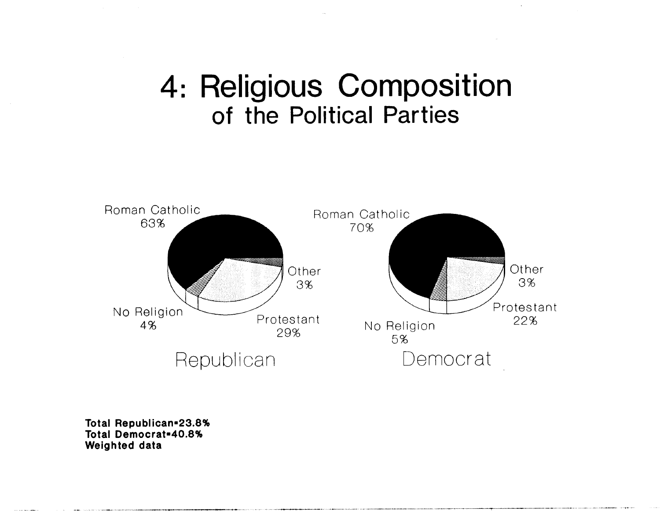## 4: Religious Composition of the Political Parties



Total Republican=23.8% **Total Democrat=40.8% Weighted data**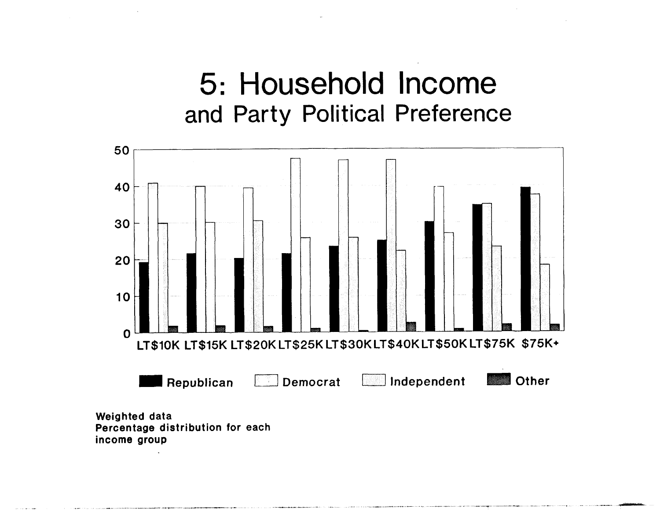## 5: Household Income and Party Political Preference

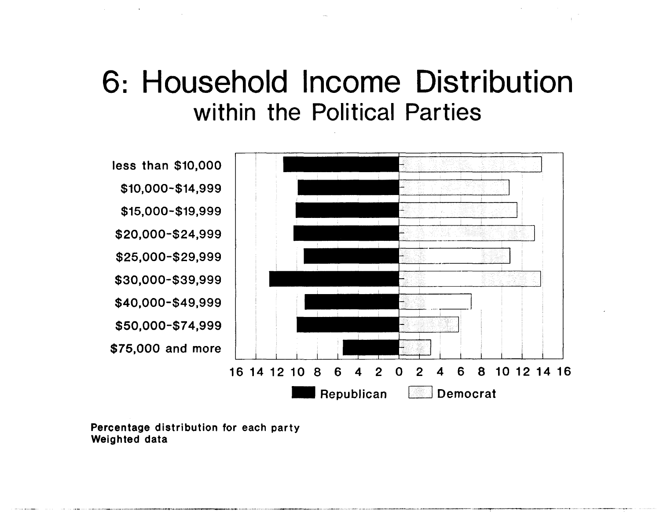## 6: Household Income Distribution within the Political Parties



**Percentage distribution for each party Weighted data**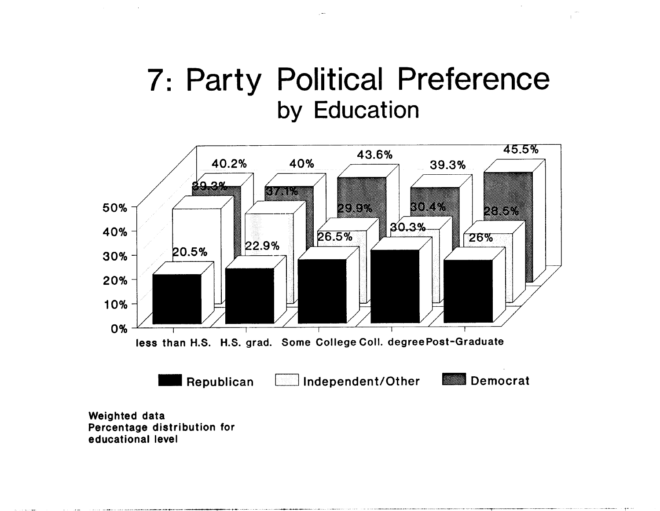## 7: Party Political Preference by Education

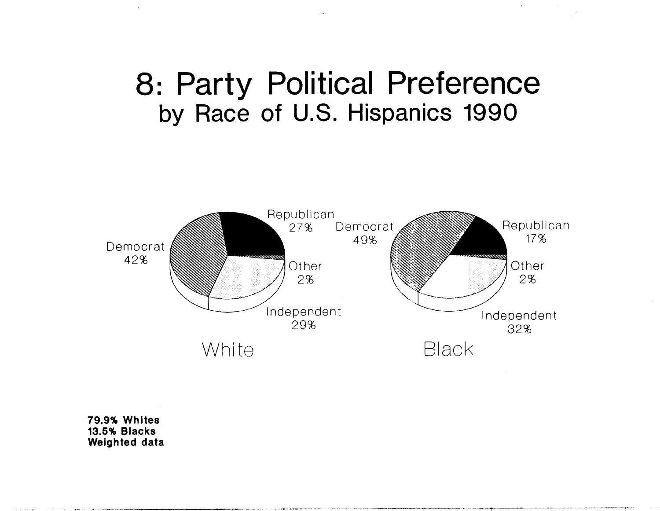## 8: Party Political Preference by Race of U.S. Hispanics 1990



**79.9% Whites 13.5% Blacks Weighted data**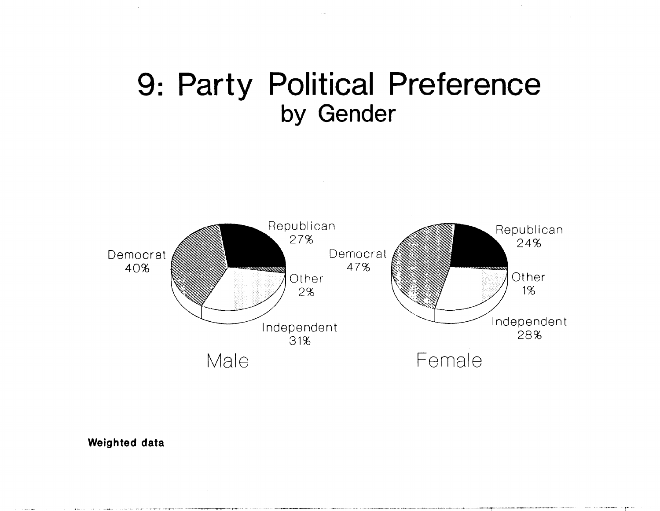## 9: Party Political Preference by Gender



**Weighted data** 

 $\mathcal{A}^{\prime}$